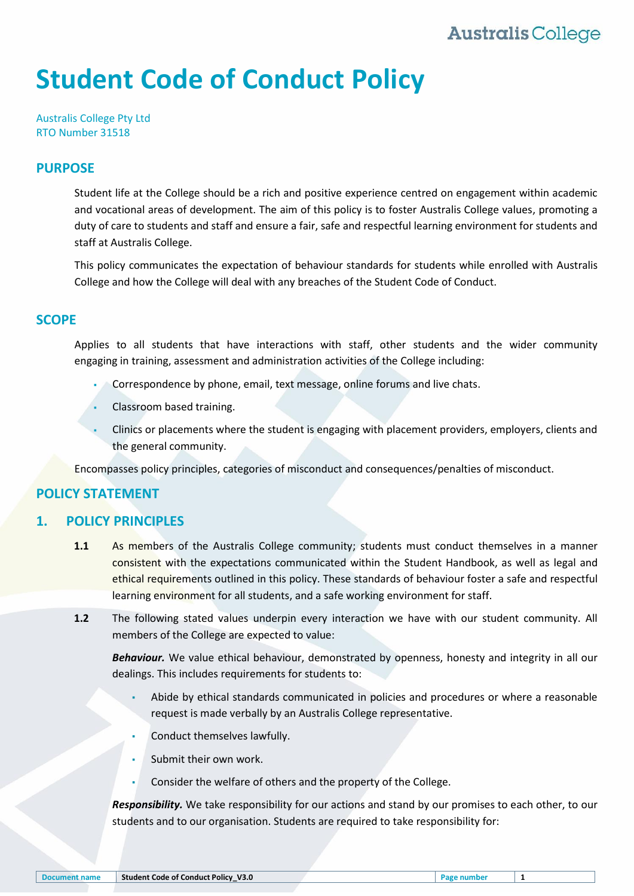# **Student Code of Conduct Policy**

Australis College Pty Ltd RTO Number 31518

#### **PURPOSE**

Student life at the College should be a rich and positive experience centred on engagement within academic and vocational areas of development. The aim of this policy is to foster Australis College values, promoting a duty of care to students and staff and ensure a fair, safe and respectful learning environment for students and staff at Australis College.

This policy communicates the expectation of behaviour standards for students while enrolled with Australis College and how the College will deal with any breaches of the Student Code of Conduct.

#### **SCOPE**

Applies to all students that have interactions with staff, other students and the wider community engaging in training, assessment and administration activities of the College including:

- Correspondence by phone, email, text message, online forums and live chats.
- Classroom based training.
- Clinics or placements where the student is engaging with placement providers, employers, clients and the general community.

Encompasses policy principles, categories of misconduct and consequences/penalties of misconduct.

#### **POLICY STATEMENT**

#### **1. POLICY PRINCIPLES**

- **1.1** As members of the Australis College community; students must conduct themselves in a manner consistent with the expectations communicated within the Student Handbook, as well as legal and ethical requirements outlined in this policy. These standards of behaviour foster a safe and respectful learning environment for all students, and a safe working environment for staff.
- **1.2** The following stated values underpin every interaction we have with our student community. All members of the College are expected to value:

*Behaviour.* We value ethical behaviour, demonstrated by openness, honesty and integrity in all our dealings. This includes requirements for students to:

- Abide by ethical standards communicated in policies and procedures or where a reasonable request is made verbally by an Australis College representative.
- Conduct themselves lawfully.
- Submit their own work.
- Consider the welfare of others and the property of the College.

*Responsibility.* We take responsibility for our actions and stand by our promises to each other, to our students and to our organisation. Students are required to take responsibility for: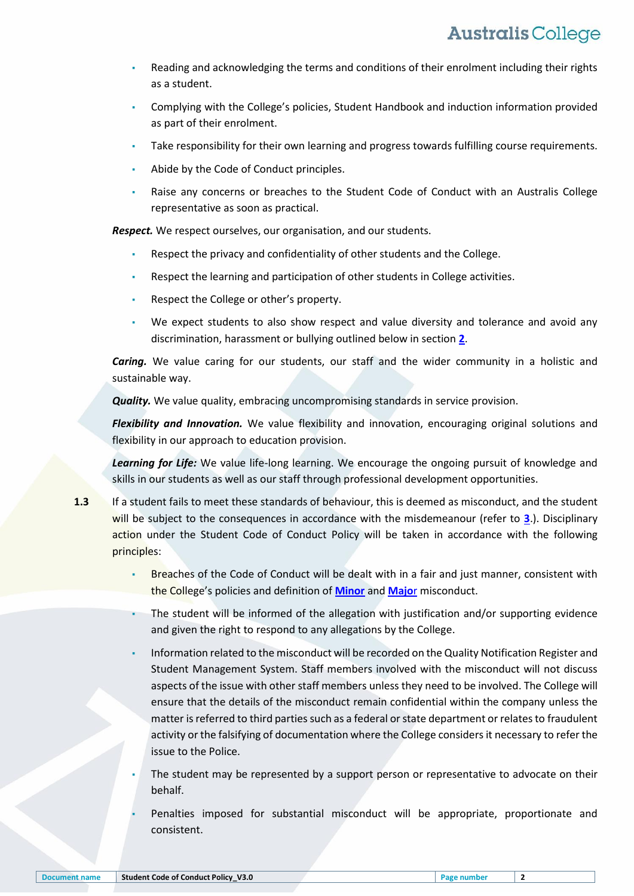- Reading and acknowledging the terms and conditions of their enrolment including their rights as a student.
- Complying with the College's policies, Student Handbook and induction information provided as part of their enrolment.
- Take responsibility for their own learning and progress towards fulfilling course requirements.
- Abide by the Code of Conduct principles.
- Raise any concerns or breaches to the Student Code of Conduct with an Australis College representative as soon as practical.

*Respect.* We respect ourselves, our organisation, and our students.

- Respect the privacy and confidentiality of other students and the College.
- Respect the learning and participation of other students in College activities.
- Respect the College or other's property.
- We expect students to also show respect and value diversity and tolerance and avoid any discrimination, harassment or bullying outlined below in section **[2](#page-2-0)**.

*Caring.* We value caring for our students, our staff and the wider community in a holistic and sustainable way.

*Quality.* We value quality, embracing uncompromising standards in service provision.

*Flexibility and Innovation.* We value flexibility and innovation, encouraging original solutions and flexibility in our approach to education provision.

Learning for Life: We value life-long learning. We encourage the ongoing pursuit of knowledge and skills in our students as well as our staff through professional development opportunities.

- **1.3** If a student fails to meet these standards of behaviour, this is deemed as misconduct, and the student will be subject to the consequences in accordance with the misdemeanour (refer to **[3](#page-3-0)**.). Disciplinary action under the Student Code of Conduct Policy will be taken in accordance with the following principles:
	- Breaches of the Code of Conduct will be dealt with in a fair and just manner, consistent with the College's policies and definition of **[Minor](#page-6-0)** and **[Majo](#page-6-1)**r misconduct.
	- The student will be informed of the allegation with justification and/or supporting evidence and given the right to respond to any allegations by the College.
	- Information related to the misconduct will be recorded on the Quality Notification Register and Student Management System. Staff members involved with the misconduct will not discuss aspects of the issue with other staff members unless they need to be involved. The College will ensure that the details of the misconduct remain confidential within the company unless the matter is referred to third parties such as a federal or state department or relates to fraudulent activity or the falsifying of documentation where the College considers it necessary to refer the issue to the Police.
	- The student may be represented by a support person or representative to advocate on their behalf.
	- Penalties imposed for substantial misconduct will be appropriate, proportionate and consistent.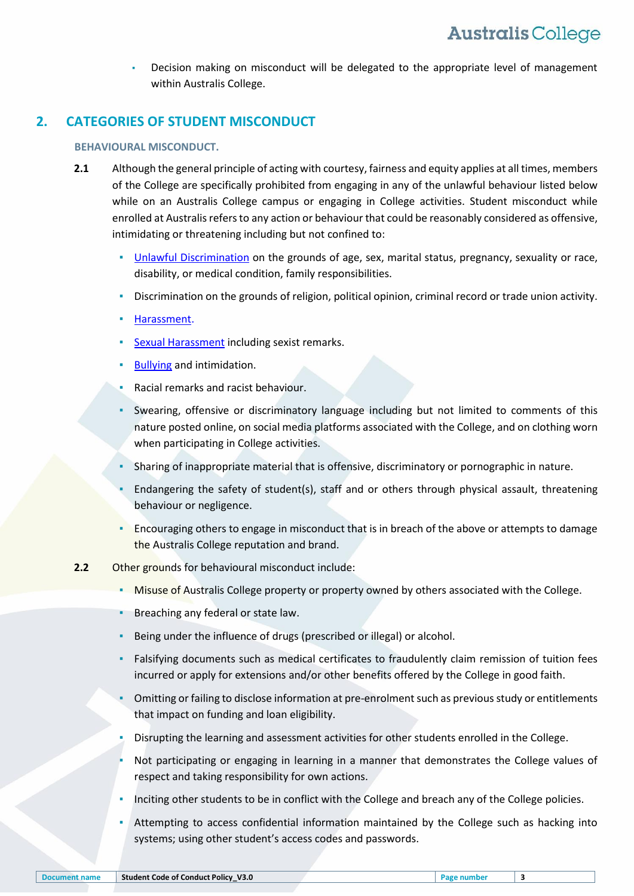Decision making on misconduct will be delegated to the appropriate level of management within Australis College.

### <span id="page-2-0"></span>**2. CATEGORIES OF STUDENT MISCONDUCT**

#### **BEHAVIOURAL MISCONDUCT.**

- **2.1** Although the general principle of acting with courtesy, fairness and equity applies at all times, members of the College are specifically prohibited from engaging in any of the unlawful behaviour listed below while on an Australis College campus or engaging in College activities. Student misconduct while enrolled at Australis refers to any action or behaviour that could be reasonably considered as offensive, intimidating or threatening including but not confined to:
	- [Unlawful Discrimination](#page-4-0) on the grounds of age, sex, marital status, pregnancy, sexuality or race, disability, or medical condition, family responsibilities.
	- Discrimination on the grounds of religion, political opinion, criminal record or trade union activity.
	- [Harassment.](#page-5-0)
	- **[Sexual Harassment](#page-5-1) including sexist remarks.**
	- **[Bullying](#page-5-2) and intimidation.**
	- Racial remarks and racist behaviour.
	- Swearing, offensive or discriminatory language including but not limited to comments of this nature posted online, on social media platforms associated with the College, and on clothing worn when participating in College activities.
	- Sharing of inappropriate material that is offensive, discriminatory or pornographic in nature.
	- Endangering the safety of student(s), staff and or others through physical assault, threatening behaviour or negligence.
	- **EXECUTE 1** Encouraging others to engage in misconduct that is in breach of the above or attempts to damage the Australis College reputation and brand.
- **2.2** Other grounds for behavioural misconduct include:
	- Misuse of Australis College property or property owned by others associated with the College.
	- Breaching any federal or state law.
	- Being under the influence of drugs (prescribed or illegal) or alcohol.
	- Falsifying documents such as medical certificates to fraudulently claim remission of tuition fees incurred or apply for extensions and/or other benefits offered by the College in good faith.
	- Omitting or failing to disclose information at pre-enrolment such as previous study or entitlements that impact on funding and loan eligibility.
	- Disrupting the learning and assessment activities for other students enrolled in the College.
	- Not participating or engaging in learning in a manner that demonstrates the College values of respect and taking responsibility for own actions.
	- Inciting other students to be in conflict with the College and breach any of the College policies.
	- Attempting to access confidential information maintained by the College such as hacking into systems; using other student's access codes and passwords.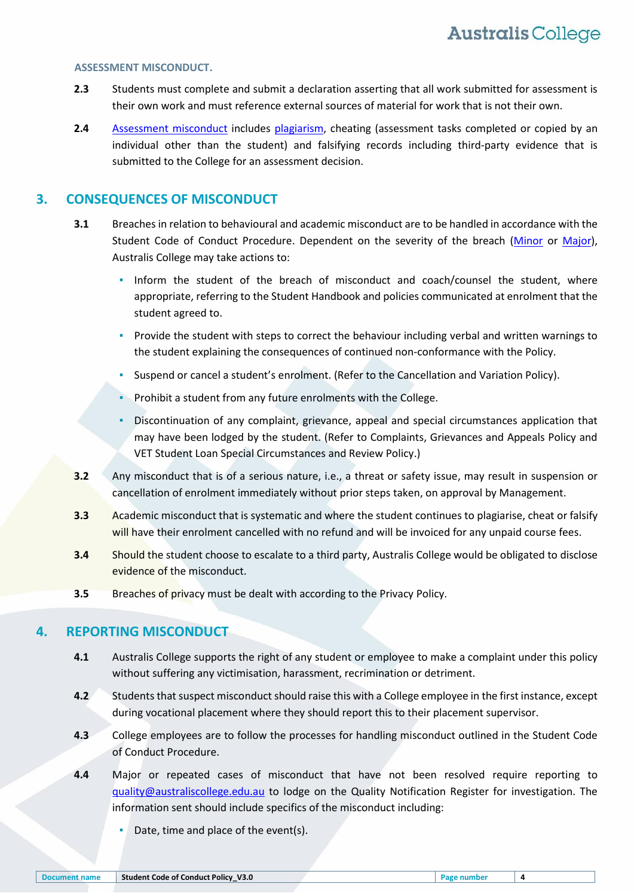#### **ASSESSMENT MISCONDUCT.**

- **2.3** Students must complete and submit a declaration asserting that all work submitted for assessment is their own work and must reference external sources of material for work that is not their own.
- 2.4 [Assessment misconduct](#page-6-2) includes [plagiarism,](#page-6-3) cheating (assessment tasks completed or copied by an individual other than the student) and falsifying records including third-party evidence that is submitted to the College for an assessment decision.

#### <span id="page-3-0"></span>**3. CONSEQUENCES OF MISCONDUCT**

- **3.1** Breaches in relation to behavioural and academic misconduct are to be handled in accordance with the Student Code of Conduct Procedure. Dependent on the severity of the breach [\(Minor](#page-6-0) or [Major\)](#page-6-1), Australis College may take actions to:
	- **.** Inform the student of the breach of misconduct and coach/counsel the student, where appropriate, referring to the Student Handbook and policies communicated at enrolment that the student agreed to.
	- Provide the student with steps to correct the behaviour including verbal and written warnings to the student explaining the consequences of continued non-conformance with the Policy.
	- Suspend or cancel a student's enrolment. (Refer to the Cancellation and Variation Policy).
	- Prohibit a student from any future enrolments with the College.
	- Discontinuation of any complaint, grievance, appeal and special circumstances application that may have been lodged by the student. (Refer to Complaints, Grievances and Appeals Policy and VET Student Loan Special Circumstances and Review Policy.)
- **3.2** Any misconduct that is of a serious nature, i.e., a threat or safety issue, may result in suspension or cancellation of enrolment immediately without prior steps taken, on approval by Management.
- **3.3** Academic misconduct that is systematic and where the student continues to plagiarise, cheat or falsify will have their enrolment cancelled with no refund and will be invoiced for any unpaid course fees.
- **3.4** Should the student choose to escalate to a third party, Australis College would be obligated to disclose evidence of the misconduct.
- **3.5** Breaches of privacy must be dealt with according to the Privacy Policy.

#### **4. REPORTING MISCONDUCT**

- **4.1** Australis College supports the right of any student or employee to make a complaint under this policy without suffering any victimisation, harassment, recrimination or detriment.
- **4.2** Students that suspect misconduct should raise this with a College employee in the first instance, except during vocational placement where they should report this to their placement supervisor.
- **4.3** College employees are to follow the processes for handling misconduct outlined in the Student Code of Conduct Procedure.
- **4.4** Major or repeated cases of misconduct that have not been resolved require reporting to guality@australiscollege.edu.au to lodge on the Quality Notification Register for investigation. The information sent should include specifics of the misconduct including:
	- Date, time and place of the event(s).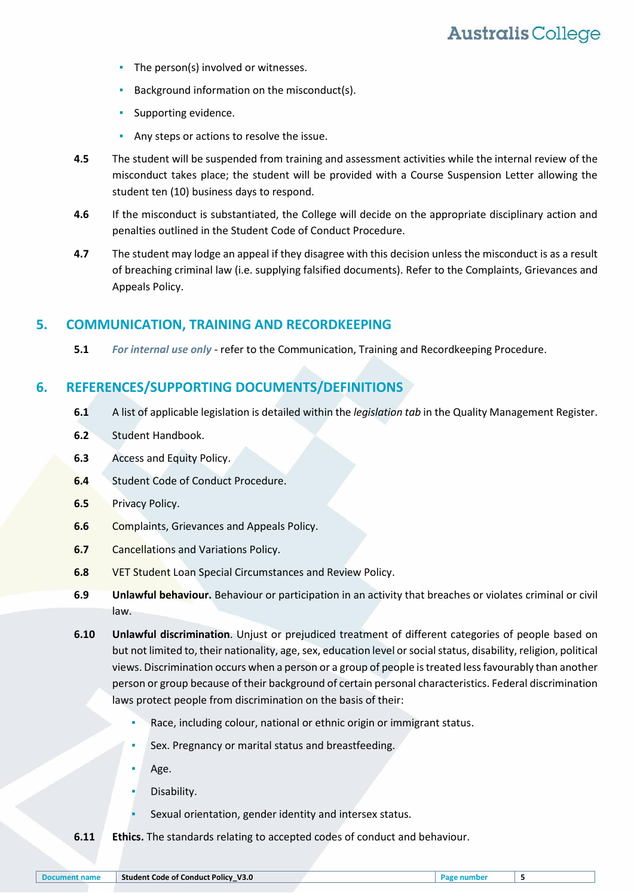- **•** The person(s) involved or witnesses.
- Background information on the misconduct(s).
- Supporting evidence.
- Any steps or actions to resolve the issue.
- **4.5** The student will be suspended from training and assessment activities while the internal review of the misconduct takes place; the student will be provided with a Course Suspension Letter allowing the student ten (10) business days to respond.
- **4.6** If the misconduct is substantiated, the College will decide on the appropriate disciplinary action and penalties outlined in the Student Code of Conduct Procedure.
- **4.7** The student may lodge an appeal if they disagree with this decision unless the misconduct is as a result of breaching criminal law (i.e. supplying falsified documents). Refer to the Complaints, Grievances and Appeals Policy.

#### **5. COMMUNICATION, TRAINING AND RECORDKEEPING**

**5.1** *For internal use only* - refer to the Communication, Training and Recordkeeping Procedure.

#### **6. REFERENCES/SUPPORTING DOCUMENTS/DEFINITIONS**

- **6.1** A list of applicable legislation is detailed within the *legislation tab* in the Quality Management Register.
- **6.2** Student Handbook.
- **6.3** Access and Equity Policy.
- **6.4** Student Code of Conduct Procedure.
- **6.5** Privacy Policy.
- **6.6** Complaints, Grievances and Appeals Policy.
- **6.7** Cancellations and Variations Policy.
- **6.8** VET Student Loan Special Circumstances and Review Policy.
- **6.9 Unlawful behaviour.** Behaviour or participation in an activity that breaches or violates criminal or civil law.
- <span id="page-4-0"></span>**6.10 Unlawful discrimination**. Unjust or prejudiced treatment of different categories of people based on but not limited to, their nationality, age, sex, education level or social status, disability, religion, political views. Discrimination occurs when a person or a group of people is treated less favourably than another person or group because of their background of certain personal characteristics. Federal discrimination laws protect people from discrimination on the basis of their:
	- Race, including colour, national or ethnic origin or immigrant status.
	- Sex. Pregnancy or marital status and breastfeeding.
	- Age.
	- Disability.
	- Sexual orientation, gender identity and intersex status.
- **6.11 Ethics.** The standards relating to accepted codes of conduct and behaviour.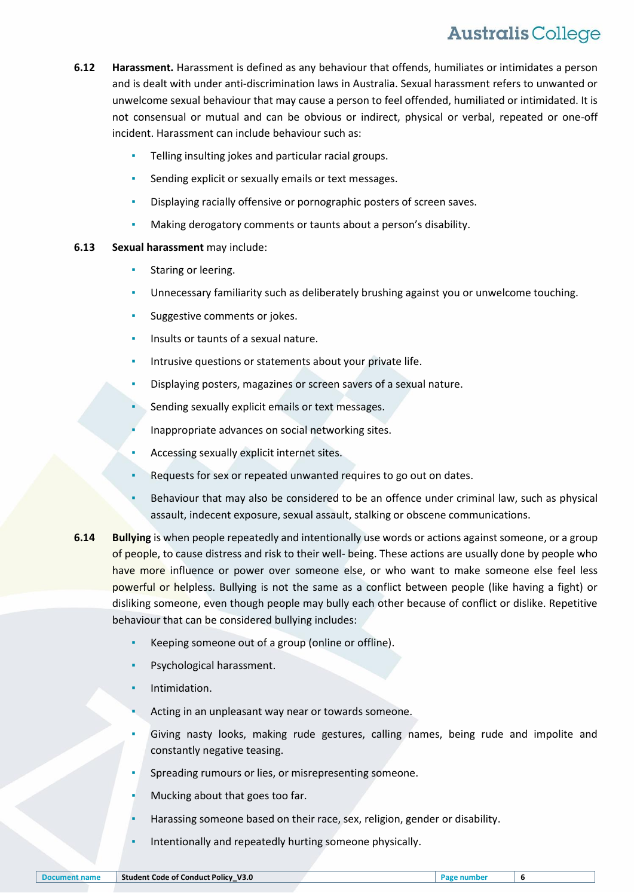- <span id="page-5-0"></span>**6.12 Harassment.** Harassment is defined as any behaviour that offends, humiliates or intimidates a person and is dealt with under anti-discrimination laws in Australia. Sexual harassment refers to unwanted or unwelcome sexual behaviour that may cause a person to feel offended, humiliated or intimidated. It is not consensual or mutual and can be obvious or indirect, physical or verbal, repeated or one-off incident. Harassment can include behaviour such as:
	- Telling insulting jokes and particular racial groups.
	- Sending explicit or sexually emails or text messages.
	- Displaying racially offensive or pornographic posters of screen saves.
	- Making derogatory comments or taunts about a person's disability.

#### <span id="page-5-1"></span>**6.13 Sexual harassment** may include:

- **•** Staring or leering.
- Unnecessary familiarity such as deliberately brushing against you or unwelcome touching.
- Suggestive comments or jokes.
- Insults or taunts of a sexual nature.
- Intrusive questions or statements about your private life.
- Displaying posters, magazines or screen savers of a sexual nature.
- Sending sexually explicit emails or text messages.
- Inappropriate advances on social networking sites.
- Accessing sexually explicit internet sites.
- Requests for sex or repeated unwanted requires to go out on dates.
- Behaviour that may also be considered to be an offence under criminal law, such as physical assault, indecent exposure, sexual assault, stalking or obscene communications.
- <span id="page-5-2"></span>**6.14 Bullying** is when people repeatedly and intentionally use words or actions against someone, or a group of people, to cause distress and risk to their well- being. These actions are usually done by people who have more influence or power over someone else, or who want to make someone else feel less powerful or helpless. Bullying is not the same as a conflict between people (like having a fight) or disliking someone, even though people may bully each other because of conflict or dislike. Repetitive behaviour that can be considered bullying includes:
	- Keeping someone out of a group (online or offline).
	- Psychological harassment.
	- Intimidation.
	- Acting in an unpleasant way near or towards someone.
	- Giving nasty looks, making rude gestures, calling names, being rude and impolite and constantly negative teasing.
	- Spreading rumours or lies, or misrepresenting someone.
	- Mucking about that goes too far.
	- Harassing someone based on their race, sex, religion, gender or disability.
	- Intentionally and repeatedly hurting someone physically.